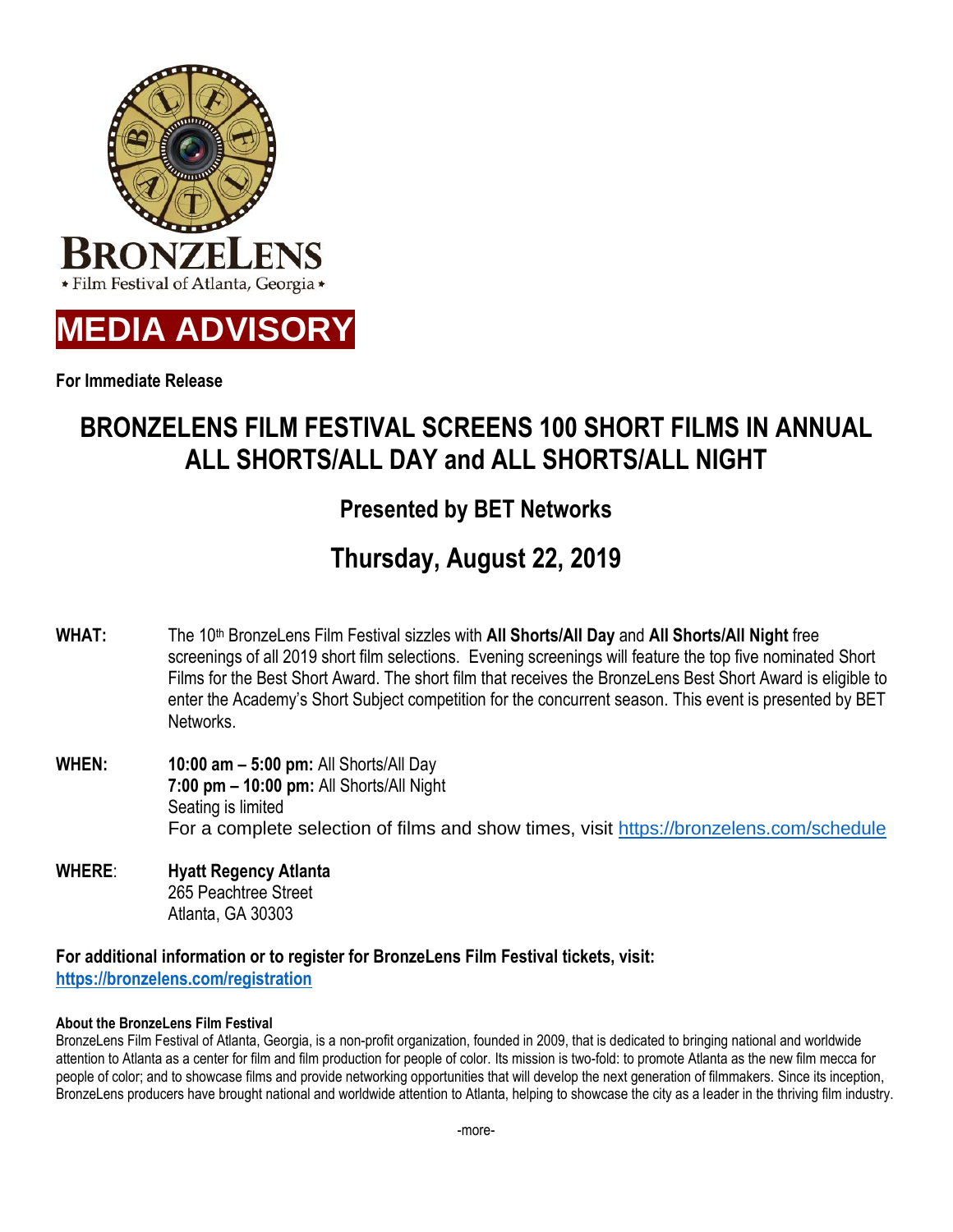

**MEDIA ADVISORY**

**For Immediate Release**

# **BRONZELENS FILM FESTIVAL SCREENS 100 SHORT FILMS IN ANNUAL ALL SHORTS/ALL DAY and ALL SHORTS/ALL NIGHT**

## **Presented by BET Networks**

# **Thursday, August 22, 2019**

- **WHAT:** The 10th BronzeLens Film Festival sizzles with **All Shorts/All Day** and **All Shorts/All Night** free screenings of all 2019 short film selections. Evening screenings will feature the top five nominated Short Films for the Best Short Award. The short film that receives the BronzeLens Best Short Award is eligible to enter the Academy's Short Subject competition for the concurrent season. This event is presented by BET Networks.
- **WHEN: 10:00 am – 5:00 pm:** All Shorts/All Day **7:00 pm – 10:00 pm:** All Shorts/All Night Seating is limited For a complete selection of films and show times, visit <https://bronzelens.com/schedule>
- **WHERE**: **Hyatt Regency Atlanta** 265 Peachtree Street Atlanta, GA 30303

**For additional information or to register for BronzeLens Film Festival tickets, visit: [https://bronzelens.com/registration](https://bronzelens.com/registration/)**

### **About the BronzeLens Film Festival**

BronzeLens Film Festival of Atlanta, Georgia, is a non-profit organization, founded in 2009, that is dedicated to bringing national and worldwide attention to Atlanta as a center for film and film production for people of color. Its mission is two-fold: to promote Atlanta as the new film mecca for people of color; and to showcase films and provide networking opportunities that will develop the next generation of filmmakers. Since its inception, BronzeLens producers have brought national and worldwide attention to Atlanta, helping to showcase the city as a leader in the thriving film industry.